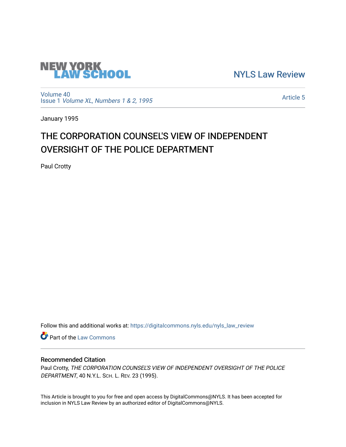

[NYLS Law Review](https://digitalcommons.nyls.edu/nyls_law_review) 

[Volume 40](https://digitalcommons.nyls.edu/nyls_law_review/vol40) Issue 1 [Volume XL, Numbers 1 & 2, 1995](https://digitalcommons.nyls.edu/nyls_law_review/vol40/iss1)

[Article 5](https://digitalcommons.nyls.edu/nyls_law_review/vol40/iss1/5) 

January 1995

# THE CORPORATION COUNSEL'S VIEW OF INDEPENDENT OVERSIGHT OF THE POLICE DEPARTMENT

Paul Crotty

Follow this and additional works at: [https://digitalcommons.nyls.edu/nyls\\_law\\_review](https://digitalcommons.nyls.edu/nyls_law_review?utm_source=digitalcommons.nyls.edu%2Fnyls_law_review%2Fvol40%2Fiss1%2F5&utm_medium=PDF&utm_campaign=PDFCoverPages) 

**Part of the [Law Commons](https://network.bepress.com/hgg/discipline/578?utm_source=digitalcommons.nyls.edu%2Fnyls_law_review%2Fvol40%2Fiss1%2F5&utm_medium=PDF&utm_campaign=PDFCoverPages)** 

## Recommended Citation

Paul Crotty, THE CORPORATION COUNSEL'S VIEW OF INDEPENDENT OVERSIGHT OF THE POLICE DEPARTMENT, 40 N.Y.L. SCH. L. REV. 23 (1995).

This Article is brought to you for free and open access by DigitalCommons@NYLS. It has been accepted for inclusion in NYLS Law Review by an authorized editor of DigitalCommons@NYLS.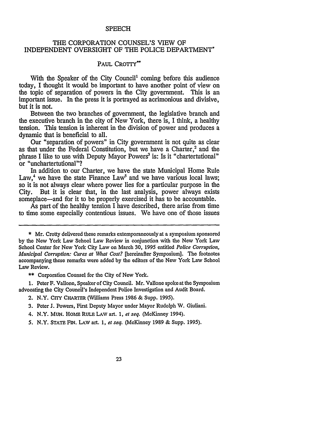#### **SPEECH**

### THE CORPORATION COUNSEL'S VIEW OF INDEPENDENT OVERSIGHT OF THE POLICE DEPARTMENT\*

## **PAUL** CROTTY\*\*

With the Speaker of the City Council' coming before this audience today, I thought it would be important to have another point of view on the topic of separation of powers in the City government. This is an important issue. In the press it is portrayed as acrimonious and divisive, but it is not.

Between the two branches of government, the legislative branch and the executive branch in the city of New York, there is, I think, a healthy tension. This tension is inherent in the division of power and produces a dynamic that is beneficial to all.

Our "separation of powers" in City government is not quite as clear as that under the Federal Constitution, but we have a Charter,<sup>2</sup> and the phrase I like to use with Deputy Mayor Powers<sup>3</sup> is: Is it "chartertutional" or "unchartertutional"?

In addition to our Charter, we have the state Municipal Home Rule Law,<sup>4</sup> we have the state Finance Law<sup>5</sup> and we have various local laws; so it is not always clear where power lies for a particular purpose in the City. But it is clear that, in the last analysis, power always exists someplace-and for it to be properly exercised it has to be accountable.

As part of the healthy tension I have described, there arise from time to time some especially contentious issues. We have one of those issues

\*\* Corporation Counsel for the City of New York.

1. Peter F. Vallone, Speaker of City Council. Mr. Vallone spoke at the Symposium advocating the City Council's Independent Police Investigation and Audit Board.

- 3. Peter J. Powers, First Deputy Mayor under Mayor Rudolph W. Giuliani.
- 4. N.Y. MUN. HOME RULE LAW art. 1, et seq. (McKinney 1994).

<sup>\*</sup> Mr. Crotty delivered these remarks extemporaneously at a symposium sponsored by the New York Law School Law Review in conjunction with the New York Law School Center for New York City Law on March 30, 1995 entitled *Police Corruption, Municipal Corruption: Cures at What Cost?* [hereinafter Symposium]. The footnotes accompanying these remarks were added by the editors of the New York Law School Law Review.

<sup>2.</sup> N.Y. CrrY CHARTER (Williams Press 1986 & Supp. 1995).

<sup>5.</sup> N.Y. STATE FiN. LAv art. 1, *et seq.* (McKinney 1989 & Supp. 1995).

<sup>23</sup>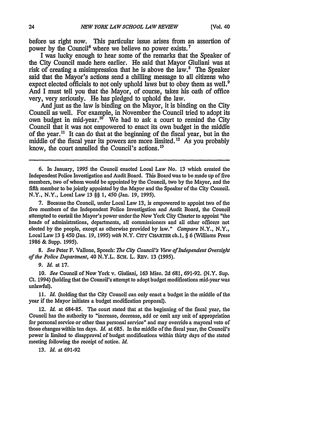before us right now. This particular issue arises from an assertion of power by the Council<sup>6</sup> where we believe no power exists.<sup>7</sup>

I was lucky enough to hear some of the remarks that the Speaker of the City Council made here earlier. He said that Mayor Giuliani was at risk of creating a misimpression that he is above the law.<sup>8</sup> The Speaker said that the Mayor's actions send a chilling message to all citizens who expect elected officials to not only uphold laws but to obey them as well.<sup>9</sup> And I must tell you that the Mayor, of course, takes his oath of office very, very seriously. He has pledged to uphold the law.

And just as the law is binding on the Mayor, it is binding on the City Council as well. For example, in November the Council tried to adopt its own budget in mid-year.<sup>10</sup> We had to ask a court to remind the City Council that it was not empowered to enact its own budget in the middle of the year."' It can do that at the beginning of the fiscal year, but in the middle of the fiscal year its powers are more limited. **12** As you probably know, the court annulled the Council's actions.<sup>13</sup>

7. Because the Council, under Local Law 13, is empowered to appoint two of the five members of the Independent Police Investigation and Audit Board, the Council attempted to curtail the Mayor's power under the New York City Charter to appoint "the heads of administrations, departments, all commissioners and all other officers not elected by the people, except as otherwise provided by law." *Compare* N.Y., N.Y., Local Law 13 § 450 (Jan. *19,* 1995) *with* N.Y. CITY CHARTER ch.1, § 6 (Williams Press 1986 & Supp. 1995).

*8. See* Peter F. Vallone, Speech: *The City Council's View ofindependent Oversight of the Police Department,* 40 N.Y.L. SCH. L. REv. 13 (1995).

*9. Id.* at 17.

10. *See* Council of New York v. Giuliani, 163 Misc. 2d 681, 691-92. (N.Y. Sup. Ct. 1994) (holding that the Council's attempt to adopt budget modifications mid-year was unlawful).

11. *Id.* (holding that the City Council can only enact a budget in the middle of the year if the Mayor initiates a budget modification proposal).

12. *Id.* at 684-85. The court stated that at the beginning of the fiscal year, the Council has the authority to "increase, decrease, add or omit any unit of appropriation for personal service or other than personal service" and may override a mayoral veto of those changes within ten days. *Id.* at 685. In the middle of the fiscal year, the Council's power is limited to disapproval of budget modifications within thirty days of the stated meeting following the receipt of notice. *Id.*

13. *Id.* at 691-92

<sup>6.</sup> In January, 1995 the Council enacted Local Law No. 13 which created the Independent Police Investigation and Audit Board. This Board was to be made up of five members, two of whom would be appointed by the Council, two by the Mayor, and the fifth member to be jointly appointed by the Mayor and the Speaker of the City Council. N.Y., N.Y., Local Law 13 §§ 1, 450 (Jan. 19, 1995).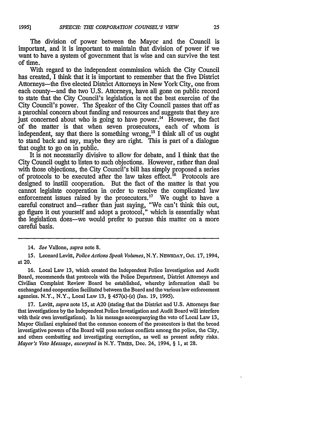The division of power between the Mayor and the Council is important, and it is important to maintain that division of power if we want to have a system of government that is wise and can survive the test **of** time.

With regard to the independent commission which the City Council has created, I think that it is important to remember that the five District Attorneys-the five elected District Attorneys in New York City, one from each county-and the two U.S. Attorneys, have all gone on public record to state that the City Council's legislation is not the best exercise of the City Council's power. The Speaker of the City Council passes that off as a parochial concern about funding and resources and suggests that they are just concerned about who is going to have power.<sup>14</sup> However, the fact of the matter is that when seven prosecutors, each of whom is independent, say that there is something wrong,<sup>15</sup> I think all of us ought to stand back and say, maybe they are right. This is part of a dialogue that ought to go on in public.

It is not necessarily divisive to allow for debate, and I think that the City Council ought to listen to such objections. However, rather than deal with those objections, the City Council's bill has simply proposed a series of protocols to be executed after the law takes effect.<sup>16</sup> Protocols are designed to instill cooperation. But the fact of the matter is that you cannot legislate cooperation in order to resolve the complicated law enforcement issues raised by the prosecutors.<sup>17</sup> We ought to have a careful construct and-rather than just saying, "We can't think this out, go figure it out yourself and adopt a protocol," which is essentially what the legislation does-we would prefer to pursue this matter on a more careful basis.

16. Local Law 13, which created the Independent Police Investigation and Audit Board, recommends that protocols with the Police Department, District Attorneys and Civilian Complaint Review Board be established, whereby information shall be exchanged and cooperation facilitated between the Board and the various law enforcement agencies. N.Y., N.Y., Local Law 13, § 457(a)-(c) (Jan. 19, **1995).**

17. Levitt, *supra* note **15,** at A20 (stating that the District and U.S. Attorneys fear that investigations by the Independent Police Investigation and Audit Board will interfere with their own investigations). In his message accompanying the veto of Local Law 13, Mayor Giuliani explained that the common concern of the prosecutors is that the broad investigative powers of the Board will pose serious confficts among the police, the City, and others combatting and investigating corruption, as well as present safety risks. *Mayor's Veto Message, excerpted in* N.Y. TIMEs, Dec. 24, 1994, § 1, at 28.

<sup>14.</sup> *See* Vallone, *supra* note 8.

<sup>15.</sup> Leonard Levitt, *Police Actions Speak Volumes,* N.Y. NEWSDAY, Oct. 17, 1994, at 20.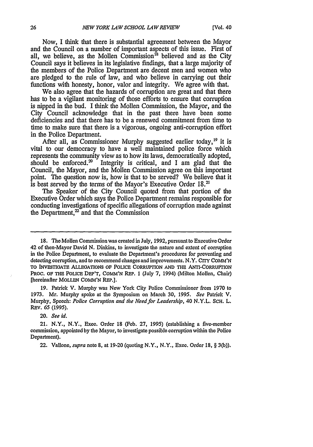Now, I think that there is substantial agreement between the Mayor and the Council on a number of important aspects of this issue. First of all, we believe, as the Mollen Commission<sup>18</sup> believed and as the City Council says it believes in its legislative findings, that a large majority of the members of the Police Department are decent men and women who are pledged to the rule of law, and who believe in carrying out their functions with honesty, honor, valor and integrity. We agree with that.

We also agree that the hazards of corruption are great and that there has to be a vigilant monitoring of those efforts to ensure that corruption is nipped in the bud. I think the Mollen Commission, the Mayor, and the City Council acknowledge that in the past there have been some deficiencies and that there has to be a renewed commitment from time to time to make sure that there is a vigorous, ongoing anti-corruption effort in the Police Department.

After all, as Commissioner Murphy suggested earlier today,  $^{19}$  it is vital to our democracy to have a well maintained police force which represents the community view as to how its laws, democratically adopted, should be enforced. $2^{\circ}$  Integrity is critical, and I am glad that the Council, the Mayor, and the Mollen Commission agree on this important point. The question now is, how is that to be served? We believe that it is best served by the terms of the Mayor's Executive Order 18.<sup>21</sup>

The Speaker of the City Council quoted from that portion of the Executive Order which says the Police Department remains responsible for conducting investigations of specific allegations of corruption made against the Department, $<sup>22</sup>$  and that the Commission</sup>

19. Patrick V. Murphy was New York City Police Commissioner from 1970 to 1973. Mr. Murphy spoke at the Symposium on March 30, 1995. *See* Patrick V. Murphy, Speech: *Police Corruption and the Need for Leadership,* 40 N.Y.L. **SCH.** L. REv. *65* (1995).

**20.** *See id.*

**<sup>18.</sup>** The Mollen Commission was created in July, 1992, pursuant to Executive Order 42 of then-Mayor David N. Dinkins, to investigate the nature and extent of corruption in the Poliee Department, to evaluate the Department's procedures for preventing and detecting corruption, and to recommend changes and improvements. N.Y. CITY COMM'N **TO INVESTIGATE ALLEGATIONS OF POLICE CORRUPTION AND THE ANTI-CORRUPTION PROC. OF THE** POLICE **DEP'T, COMM'N REP. 1** (July 7, **1994)** (Milton Mollen, Chair) [hereinafter MOLLEN COMM'N REP.].

<sup>21.</sup> N.Y., N.Y., Exec. Order **18** (Feb. **27,** 1995) (establishing a five-member commission, appointed by the Mayor, to investigate possible corruption within the Police Department).

<sup>22.</sup> Vallone, *supra* note **8,** at 19-20 (quoting N.Y., N.Y., Exec. Order **18,** § 3(b)).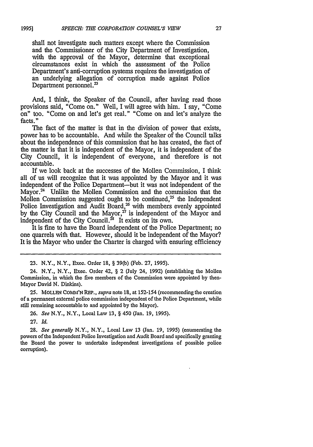shall not investigate such matters except where the Commission and the Commissioner of the City Department of Investigation, with the approval of the Mayor, determine that exceptional circumstances exist in which the assessment of the Police Department's anti-corruption systems requires the investigation of an underlying allegation of corruption made against Police Department personnel.<sup>23</sup>

And, I think, the Speaker of the Council, after having read those provisions said, "Come on." Well, I will agree with him. I say, "Come on" too. "Come on and let's get real." "Come on and let's analyze the facts."

The fact of the matter is that in the division of power that exists, power has to be accountable. And while the Speaker of the Council talks about the independence of this commission that he has created, the fact of the matter is that it is independent of the Mayor, it is independent of the City Council, it is independent of everyone, and therefore is not accountable.

If we look back at the successes of the Mollen Commission, I think all of us will recognize that it was appointed by the Mayor and it was independent of the Police Department-but it was not independent of the Mayor.<sup>24</sup> Unlike the Mollen Commission and the commission that the Mollen Commission suggested ought to be continued,<sup>25</sup> the Independent Police Investigation and Audit Board, $26$  with members evenly appointed by the City Council and the Mayor, $27$  is independent of the Mayor and independent of the City Council.<sup>28</sup> It exists on its own.

It is fine to have the Board independent of the Police Department; no one quarrels with that. However, should it be independent of the Mayor? It is the Mayor who under the Charter is charged with ensuring efficiency

23. N.Y., N.Y., Exec. Order 18, § 39(b) (Feb. 27, 1995).

24. N.Y., N.Y., Exec. Order 42, § 2 (July 24, 1992) (establishing the Mollen Commission, in which the five members of the Commission were appointed by then-Mayor David N. Dinkins).

**25. MOLLEN** COMM'N REP., supra note 18, at 152-154 (recommending the creation of a permanent external police commission independent of the Police Department, while still remaining accountable to and appointed by the Mayor).

26. See N.Y., N.Y., Local Law 13, § 450 (Jan. 19, 1995).

27. *Id.*

28. See generally N.Y., N.Y., Local Law 13 (Jan. 19, 1995) (enumerating the powers of the Independent Police Investigation and Audit Board and specifically granting the Board the power to undertake independent investigations of possible police corruption).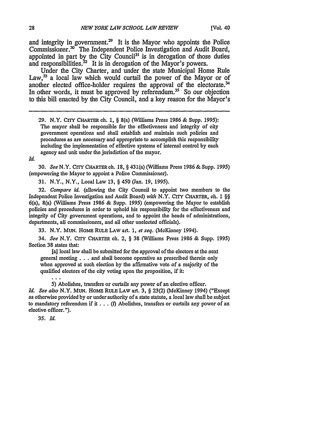and integrity in government.<sup>29</sup> It is the Mayor who appoints the Police Commissioner.<sup>30</sup> The Independent Police Investigation and Audit Board, appointed in part by the City Council<sup>31</sup> is in derogation of those duties and responsibilities.<sup>32</sup> It is in derogation of the Mayor's powers.

Under the City Charter, and under the state Municipal Home Rule Law,<sup>33</sup> a local law which would curtail the power of the Mayor or of another elected office-holder requires the approval of the electorate.<sup>34</sup> In other words, it must be approved by referendum.<sup>35</sup> So our objection to this bill enacted **by** the City Council, and a key reason for the Mayor's

**29. N.Y. Crry CHARTER ch. 1, §** 8(a) (Williams Press 1986 & Supp. *1995):* The mayor shall be responsible for the effectiveness and integrity of city government operations and shall establish and maintain such policies and procedures as are necessary and appropriate to accomplish this responsibility including the implementation of effective systems of internal control by each agency and unit under the jurisdiction of the mayor.

*Id.*

30. *See* N.Y. CrrY **CHARTER ch. 18, §** 431(a) (Williams Press 1986 & Supp. **1995)** (empowering the Mayor to appoint a Police Commissioner).

**31.** N.Y., N.Y., Local Law 13, **§** 450 (Jan. 19, 1995).

**32.** *Compare id.* (allowing the City Council to appoint two members to the Independent Police Investigation and Audit Board) *with* N.Y. **CrrY** CHARTER, ch. 1 **§§** 6(a), 8(a) (Williams Press 1986 & Supp. 1995) (empowering the Mayor to establish policies and procedures in order to uphold his responsibility for the effectiveness and integrity of City government operations, and to appoint the heads of administrations, departments, all commissioners, and all other unelected officials).

**33.** N.Y. MUN. HoME **RULE LAW** art. 1, *et seq.* (McKinney 1994).

*34. See* N.Y. CriY **CHARTER** ch. 2, **§ 38** (Williams Press 1986 & Supp. 1995) Section 38 states that:

[a] local law shall be submitted for the approval of the electors at the next general meeting **. . .** and shall become operative as prescribed therein only when approved at such election by the affirmative vote of a majority of the qualified electors of the city voting upon the proposition, if it:

**5)** Abolishes, transfers or curtails any power of an elective officer. *Id. See also* N.Y. MUN. HoME RULE **LAW** art. **3, § 23(2)** (McKinney 1994) ("Except as otherwise provided by or under authority of a state statute, a local law shall be subject to mandatory referendum if it ... **(f)** Abolishes, transfers or curtails any power of an elective officer.").

*35. Id.*

 $\sim$   $\sim$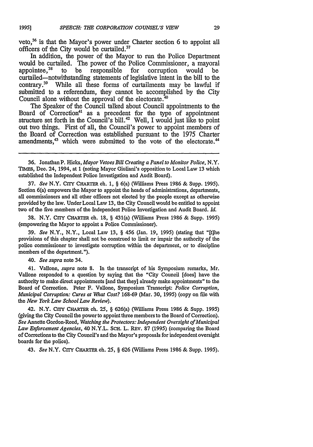veto,<sup>36</sup> is that the Mayor's power under Charter section 6 to appoint all officers of the City would be curtailed.<sup>37</sup>

In addition, the power of the Mayor to run the Police Department would be curtailed. The power of the Police Commissioner, a mayoral appointee,<sup>38</sup> to be responsible for corruption would be appointee, $38$  to be responsible for corruption would be curtailed-notwithstanding statements of legislative intent in the bill to the contrary.39 While all these forms of curtailments may be lawful if submitted to a referendum, they cannot be accomplished by the City Council alone without the approval of the electorate.<sup>40</sup>

The Speaker of the Council talked about Council appointments to the Board of Correction<sup>41</sup> as a precedent for the type of appointment structure set forth in the Council's bill.<sup>42</sup> Well, I would just like to point out two things. First of all, the Council's power to appoint members of the Board of Correction was established pursuant to the 1975 Charter amendments,<sup>43</sup> which were submitted to the vote of the electorate.<sup>44</sup>

37. *See* N.Y. CrrY **CHARTER** ch. **1,** § 6(a) (Williams Press 1986 & Supp. 1995). Section 6(a) empowers the Mayor to appoint the heads of administrations, departments, all commissioners and all other officers not elected by the people except as otherwise provided by the law. Under Local Law 13, the City Council would be entitled to appoint two of the five members of the Independent Police Investigation and Audit Board. *Id.*

38. N.Y. CITY CHARTER ch. 18, § 431(a) (Williams Press 1986 & Supp. 1995) (empowering the Mayor to appoint a Police Commissioner).

39. *See* N.Y., N.Y., Local Law 13, § 456 (Jan. 19, 1995) (stating that "It]he provisions of this chapter shall not be construed to limit or impair the authority of the police commissioner to investigate corruption within the department, or to discipline members of the department.").

40. *See supra* note 34.

41. Vallone, *supra* note 8. In the transcript of his Symposium remarks, Mr. Vallone responded to a question by saying that the "City Council [does] have the authority to make direct appointments [and that they] already make appointments" to the Board of Correction. Peter F. Vallone, Symposium Transcript: *Police Corruption, Municipal Corruption: Cures at What Cost?* 168-69 (Mar. 30, 1995) (copy on file with the *New York Law School Law Review).*

42. N.Y. CITY CHARTER ch. **25,** § 626(a) (Williams Press 1986 & Supp. 1995) (giving the City Council the power to appoint three members to the Board of Correction). *See* Annette Gordon-Reed, *Watching the Protectors: Independent Oversight of Municipal Law Enforcement Agencies,* 40 N.Y.L. SCH. L. REV. 87 (1995) (comparing the Board of Corrections to the City Council's and the Mayor's proposals for independent oversight boards for the police).

43. *See* N.Y. CITY CHARTER ch. **25,** § **626** (Williams Press 1986 & Supp. 1995).

<sup>36.</sup> Jonathan P. Hicks, *Mayor Vetoes Bill Creating a Panel to Monitor Police, N.Y.* TIMES, Dec. 24, 1994, at 1 (noting Mayor Giuliani's opposition to Local Law 13 which established the Independent Police Investigation and Audit Board).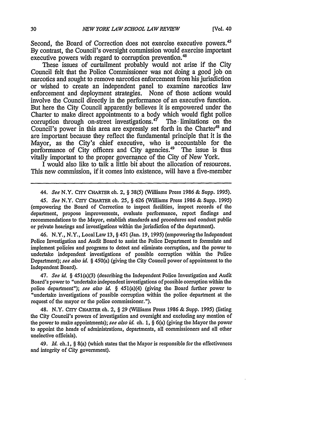Second, the Board of Correction does not exercise executive powers.<sup>45</sup> By contrast, the Council's oversight commission would exercise important executive powers with regard to corruption prevention.<sup>46</sup>

These issues of curtailment probably would not arise if the City Council felt that the Police Commissioner was not doing a good job on narcotics and sought to remove narcotics enforcement from his jurisdiction or wished to create an independent panel to examine narcotics law enforcement and deployment strategies. None of those actions would involve the Council directly in the performance of an executive function. But here the City Council apparently believes it is empowered under the Charter to make direct appointments to a body which would fight police corruption through on-street investigations. $47$  The limitations on the Council's power in this area are expressly set forth in the Charter<sup>48</sup> and are important because they reflect the fundamental principle that it is the Mayor, as the City's chief executive, who is accountable for the performance of City officers and City agencies.<sup>49</sup> The issue is thus vitally important to the proper governance of the City of New York.

I would also like to talk a little bit about the allocation of resources. This new commission, if it comes into existence, will have a five-member

46. N.Y., N.Y., LocalLaw **13,** § 451 (Jan. *19,* 1995) (empowering the Independent Police Investigation and Audit Board to assist the Police Department to formulate and implement policies and programs to detect and eliminate corruption, and the power to undertake independent investigations of possible corruption within the Police Department); *see also id.* § 450(a) (giving the City Council power of appointment to the Independent Board).

47. *See id.* § 451(a)(3) (describing the Independent Police Investigation and Audit Board's power to "undertake independent investigations of possible corruption within the police department"); *see also id. §* 451(a)(4) (giving the Board further power to "undertake investigations of possible corruption within the police department at the request of the mayor or the police commissioner.").

48. N.Y. CrIY CHARTER ch. 2, § 29 (Williams Press 1986 & Supp. 1995) (listing the City Council's powers of investigation and oversight and excluding any mention of the power to make appointments); *see also id.* oh. 1, § 6(a) (giving the Mayor the power to appoint the heads of administrations, departments, all commissioners and all other unelective officials).

49. *Id.* ch.1, § 8(a) (which states that the Mayor is responsible for the effectiveness and integrity of City government).

<sup>44.</sup> *See* N.Y. **CITY** CHARTER ch. 2, § **38(5)** (Williams Press 1986 & Supp. **1995).**

*<sup>45.</sup> See* N.Y. CrrY CHARTER ch. *25,* § 626 (Williams Press 1986 & Supp. 1995) (empowering the Board of Correction to inspect facilities, inspect records of the department, propose improvements, evaluate performance, report findings and recommendations to the Mayor, establish standards and procedures and conduct public or private hearings and investigations within the jurisdiction of the department).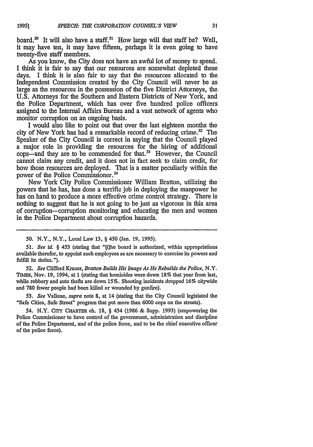board.<sup>50</sup> It will also have a staff.<sup>51</sup> How large will that staff be? Well, it may have ten, it may have fifteen, perhaps it is even going to have twenty-five staff members.

As you know, the City does not have an awful lot of money to spend. I think it is fair to say that our resources are somewhat depleted these days. I think it is also fair to say that the resources allocated to the Independent Commission created by the City Council will never be as large as the resources in the possession of the five District Attorneys, the U.S. Attorneys for the Southern and Eastern Districts of New York, and the Police Department, which has over five hundred police officers assigned to the Internal Affairs Bureau and a vast network of agents who monitor corruption on an ongoing basis.

I would also like to point out that over the last eighteen months the city of New York has had a remarkable record of reducing crime.<sup>52</sup> The Speaker of the City Council is correct in saying that the Council played a major role in providing the resources for the hiring of additional cops—and they are to be commended for that.<sup>53</sup> However, the Council cannot claim any credit, and it does not in fact seek to claim credit, for how those resources are deployed. That is a matter peculiarly within the power of the Police Commissioner.<sup>54</sup>

New York City Police Commissioner William Bratton, utilizing the powers that he has, has done a terrific job in deploying the manpower he has on hand to produce a more effective crime control strategy. There is nothing to suggest that he is not going to be just as vigorous in this area of corruption-corruption monitoring and educating the men and women in the Police Department about corruption hazards.

*52. See* Clifford Krauss, *Bratton Builds His Image As He Rebuilds the Police, N.Y.* TIMEs, Nov. 19, 1994, at **1** (stating that homicides were down **18%** that year from last, while robbery and auto thefts are down 15%. Shooting incidents dropped 16% citywide and 780 fewer people had been killed or wounded by gunfire).

*53. See* Vallone, *supra* note 8, at 14 (stating that the City Council legislated the "Safe Cities, Safe Street" program that put more than 6000 cops on the streets).

54. N.Y. CrrY CHARTER ch. 18, § 434 (1986 & Supp. 1993) (empowering the Police Commissioner to have control of the government, administration and discipline of the Police Department, and of the police force, and to be the chief executive officer of the police force).

**<sup>50.</sup>** N.Y., N.Y., Local Law 13, § 450 (Jan. **19,** 1995).

*<sup>51.</sup> See id.* § 453 (stating that "It]he board is authorized, within appropriations available therefor, to appoint such employees as are necessary to exercise its powers and fulfill its duties.").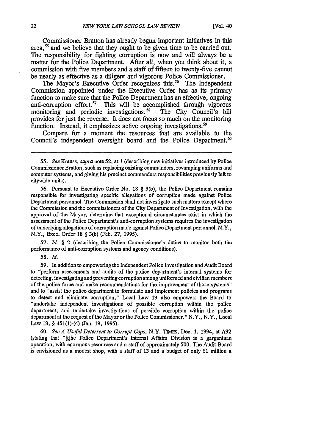Commissioner Bratton has already begun important initiatives in this area,<sup>55</sup> and we believe that they ought to be given time to be carried out. The responsibility for fighting corruption is now and will always be a matter for the Police Department. After all, when you think about it, a commission with five members and a staff of fifteen to twenty-five cannot be nearly as effective as a diligent and vigorous Police Commissioner.

The Mayor's Executive Order recognizes this.'6 The Independent Commission appointed under the Executive Order has as its primary function to make sure that the Police Department has an effective, ongoing anti-corruption effort.<sup>57</sup> This will be accomplished through vigorous monitoring and periodic investigations.<sup>58</sup> The City Council's bill monitoring and periodic investigations.<sup>58</sup> provides for just the reverse. It does not focus so much on the monitoring function. Instead, it emphasizes active ongoing investigations.<sup>59</sup>

Compare for a moment the resources that are available to the Council's independent oversight board and the Police Department.<sup>60</sup>

57. *Id.* § 2 (describing the Police Commissioner's duties to monitor both the performance of anti-corruption systems and agency conditions).

*58. Id.*

59. In addition to empowering the Independent Police Investigation and Audit Board to "perform assessments and audits of the police department's internal systems for detecting, investigating and preventing corruption among uniformed and civilian members of the police force and make recommendations for the improvement of those systems" and to "assist the police department to formulate and implement policies and programs to detect and eliminate corruption," Local Law 13 also empowers the Board to "undertake independent investigations of possible corruption within the police department; and undertake investigations of possible corruption within the police department at the request of the Mayor or the Police Commissioner." N.Y., N.Y., Local Law 13, § 451(1)-(4) (Jan. 19, 1995).

*60. See A* Useful *Deterrent to Corrupt Cops,* N.Y. TIMES, Dec. 1, 1994, at **A32** (stating that "[t]he Police Department's Internal Affairs Division is a gargantuan operation, with enormous resources and a staff of approximately 500. The Audit Board is envisioned as a modest shop, with a staff of **13** and a budget of only \$1 million a

*<sup>55.</sup> See Krauss, supra* note *52,* at 1 (describing new initiatives introduced by Police Commissioner Bratton, such as replacing existing commanders, revamping uniforms and computer systems, and giving his precinct commanders responsibilities previously left to citywide units).

<sup>56.</sup> Pursuant to Executive Order No. 18 § 3(b), the Police Department remains responsible for investigating specific allegations of corruption made against Police Department personnel. The Commission shall not investigate such matters except where the Commission and the commissioners of the City Department of Investigation, with the approval of the Mayor, determine that exceptional circumstances exist in which the assessment of the Police Department's anti-corruption systems requires the investigation of underlying allegations of corruption made against Police Department personnel. N.Y., N.Y., Exec. Order 18 § 3(b) (Feb. 27, 1995).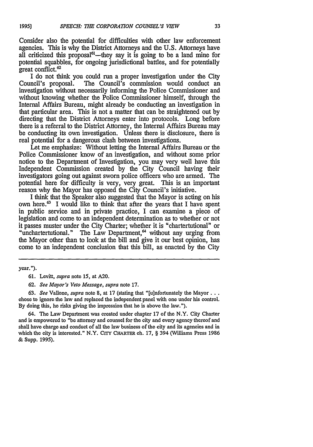Consider also the potential for difficulties with other law enforcement agencies. This is why the District Attorneys and the U.S. Attorneys have all criticized this proposal<sup> $61$ </sup>—they say it is going to be a land mine for potential squabbles, for ongoing jurisdictional battles, and for potentially great conflict.<sup>62</sup>

I do not think you could run a proper investigation under the City Council's proposal. The Council's commission would conduct an investigation without necessarily informing the Police Commissioner and without knowing whether the Police Commissioner himself, through the Internal Affairs Bureau, might already be conducting an investigation in that particular area. This is not a matter that can be straightened out by directing that the District Attorneys enter into protocols. Long before there is a referral to the District Attorney, the Internal Affairs Bureau may be conducting its own investigation. Unless there is disclosure, there is real potential for a dangerous clash between investigations.

Let me emphasize: Without letting the Internal Affairs Bureau or the Police Commissioner know of an investigation, and without some prior notice to the Department of Investigation, you may very well have this Independent Commission created by the City Council having their investigators going out against sworn police officers who are armed. The potential here for difficulty is very, very great. This is an important reason why the Mayor has opposed the City Council's initiative.

I think that the Speaker also suggested that the Mayor is acting on his own here.<sup>63</sup> I would like to think that after the years that I have spent in public service and in private practice, I can examine a piece of legislation and come to an independent determination as to whether or not it passes muster under the City Charter; whether it is "chartertutional" or "unchartertutional." The Law Department,<sup>64</sup> without any urging from the Mayor other than to look at the bill and give it our best opinion, has come to an independent conclusion that this bill, as enacted by the City

year.").

63. *See* Vallone, *supra* note 8, at **17** (stating that "[u]nfortunately the Mayor... chose to ignore the law and replaced the independent panel with one under his control. By doing this, he risks giving the impression that he is above the law.").

64. The Law Department was created under chapter 17 of the N.Y. City Charter and is empowered to "be attorney and counsel for the city and every agency thereof and shall have charge and conduct of all the law business of the city and its agencies and in which the city is interested." N.Y. CrrY CHARTER ch. 17, § 394 (Williams Press 1986 & Supp. 1995).

<sup>61.</sup> Levitt, *supra* note **15,** at A20.

<sup>62.</sup> *See Mayor's Veto Message, supra* note 17.